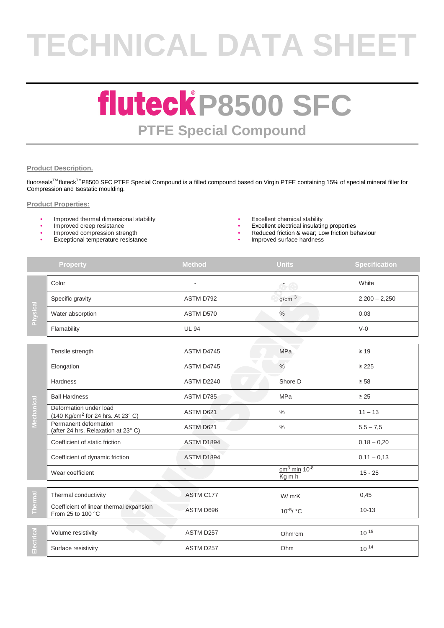# **TECHNICAL DATA SHEET**

### **fluteck P8500 SFC PTFE Special Compound**

#### **Product Description.**

fluorseals<sup>™</sup> fluteck<sup>™</sup>P8500 SFC PTFE Special Compound is a filled compound based on Virgin PTFE containing 15% of special mineral filler for Compression and Isostatic moulding.

#### **Product Properties:**

- Improved thermal dimensional stability  $\bullet$  Excellent chemical stability  **Excellent chemical stability** Improved creep resistance
- 
- 
- Exceptional temperature resistance Improved surface hardness
- 
- Improved creep resistance and the state of the state of the state of the state of the state of the state of the state of the state of the state of the state of the state of the state of the state of the state of the stat
	- Reduced friction & wear; Low friction behaviour
	-

|            | <b>Property</b>                                                         | <b>Method</b> | <b>Units</b>                                          | <b>Specification</b> |
|------------|-------------------------------------------------------------------------|---------------|-------------------------------------------------------|----------------------|
|            | Color                                                                   |               | $\sigma$ e                                            | White                |
|            | Specific gravity                                                        | ASTM D792     | g/cm <sup>3</sup>                                     | $2,200 - 2,250$      |
| Physical   | Water absorption                                                        | ASTM D570     | $\%$                                                  | 0,03                 |
|            | Flamability                                                             | <b>UL 94</b>  |                                                       | $V-0$                |
|            | Tensile strength                                                        | ASTM D4745    | MPa                                                   | $\geq 19$            |
|            | Elongation                                                              | ASTM D4745    | $\%$                                                  | $\geq 225$           |
|            | Hardness                                                                | ASTM D2240    | Shore D                                               | $\geq 58$            |
|            | <b>Ball Hardness</b>                                                    | ASTM D785     | <b>MPa</b>                                            | $\geq 25$            |
| Mechanical | Deformation under load<br>(140 Kg/cm <sup>2</sup> for 24 hrs. At 23° C) | ASTM D621     | $\%$                                                  | $11 - 13$            |
|            | Permanent deformation<br>(after 24 hrs. Relaxation at 23°C)             | ASTM D621     | $\%$                                                  | $5,5 - 7,5$          |
|            | Coefficient of static friction                                          | ASTM D1894    |                                                       | $0,18 - 0,20$        |
|            | Coefficient of dynamic friction                                         | ASTM D1894    |                                                       | $0,11 - 0,13$        |
|            | Wear coefficient                                                        |               | $\frac{\text{cm}^3 \text{ min}}{10^{-8}}$<br>$Kg$ m h | $15 - 25$            |
|            | Thermal conductivity                                                    | ASTM C177     | W/mK                                                  | 0,45                 |
| Therma     | Coefficient of linear thermal expansion<br>From 25 to 100 °C            | ASTM D696     | 10 <sup>-5</sup> / °C                                 | $10 - 13$            |
|            | Volume resistivity                                                      | ASTM D257     | Ohm·cm                                                | $10^{15}$            |
| Electrical | Surface resistivity                                                     | ASTM D257     | Ohm                                                   | 10 14                |